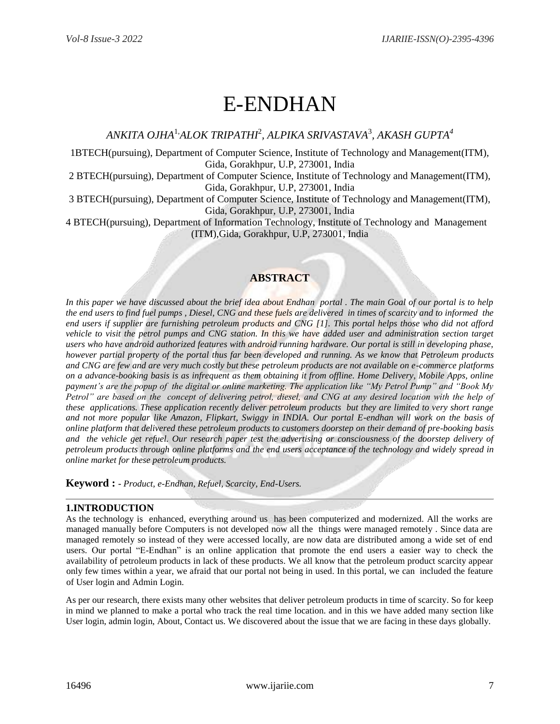# E-ENDHAN

*ANKITA OJHA*1,*ALOK TRIPATHI*<sup>2</sup> *, ALPIKA SRIVASTAVA*<sup>3</sup> *, AKASH GUPTA<sup>4</sup>*

1BTECH(pursuing), Department of Computer Science, Institute of Technology and Management(ITM), Gida, Gorakhpur, U.P, 273001, India

2 BTECH(pursuing), Department of Computer Science, Institute of Technology and Management(ITM), Gida, Gorakhpur, U.P, 273001, India

3 BTECH(pursuing), Department of Computer Science, Institute of Technology and Management(ITM), Gida, Gorakhpur, U.P, 273001, India

4 BTECH(pursuing), Department of Information Technology, Institute of Technology and Management (ITM),Gida, Gorakhpur, U.P, 273001, India

# **ABSTRACT**

In this paper we have discussed about the brief idea about Endhan portal . The main Goal of our portal is to help *the end users to find fuel pumps , Diesel, CNG and these fuels are delivered in times of scarcity and to informed the end users if supplier are furnishing petroleum products and CNG [1]. This portal helps those who did not afford vehicle to visit the petrol pumps and CNG station. In this we have added user and administration section target users who have android authorized features with android running hardware. Our portal is still in developing phase, however partial property of the portal thus far been developed and running. As we know that Petroleum products and CNG are few and are very much costly but these petroleum products are not available on e-commerce platforms on a advance-booking basis is as infrequent as them obtaining it from offline. Home Delivery, Mobile Apps, online payment's are the popup of the digital or online marketing. The application like "My Petrol Pump" and "Book My Petrol" are based on the concept of delivering petrol, diesel, and CNG at any desired location with the help of these applications. These application recently deliver petroleum products but they are limited to very short range and not more popular like Amazon, Flipkart, Swiggy in INDIA. Our portal E-endhan will work on the basis of online platform that delivered these petroleum products to customers doorstep on their demand of pre-booking basis and the vehicle get refuel. Our research paper test the advertising or consciousness of the doorstep delivery of petroleum products through online platforms and the end users acceptance of the technology and widely spread in online market for these petroleum products.*

**Keyword : -** *Product, e-Endhan, Refuel, Scarcity, End-Users.*

# **1.INTRODUCTION**

As the technology is enhanced, everything around us has been computerized and modernized. All the works are managed manually before Computers is not developed now all the things were managed remotely . Since data are managed remotely so instead of they were accessed locally, are now data are distributed among a wide set of end users. Our portal "E-Endhan" is an online application that promote the end users a easier way to check the availability of petroleum products in lack of these products. We all know that the petroleum product scarcity appear only few times within a year, we afraid that our portal not being in used. In this portal, we can included the feature of User login and Admin Login.

As per our research, there exists many other websites that deliver petroleum products in time of scarcity. So for keep in mind we planned to make a portal who track the real time location. and in this we have added many section like User login, admin login, About, Contact us. We discovered about the issue that we are facing in these days globally.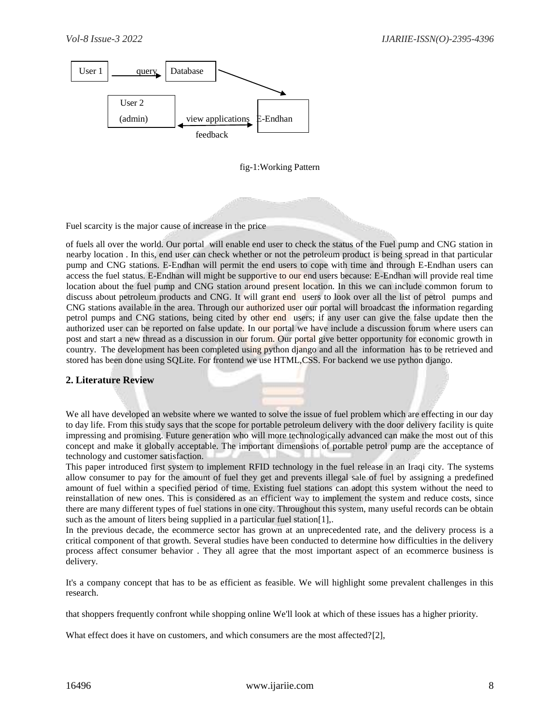

#### fig-1:Working Pattern

Fuel scarcity is the major cause of increase in the price

of fuels all over the world. Our portal will enable end user to check the status of the Fuel pump and CNG station in nearby location . In this, end user can check whether or not the petroleum product is being spread in that particular pump and CNG stations. E-Endhan will permit the end users to cope with time and through E-Endhan users can access the fuel status. E-Endhan will might be supportive to our end users because: E-Endhan will provide real time location about the fuel pump and CNG station around present location. In this we can include common forum to discuss about petroleum products and CNG. It will grant end users to look over all the list of petrol pumps and CNG stations available in the area. Through our authorized user our portal will broadcast the information regarding petrol pumps and CNG stations, being cited by other end users; if any user can give the false update then the authorized user can be reported on false update. In our portal we have include a discussion forum where users can post and start a new thread as a discussion in our forum. Our portal give better opportunity for economic growth in country. The development has been completed using python django and all the information has to be retrieved and stored has been done using SQLite. For frontend we use HTML,CSS. For backend we use python django.

#### **2. Literature Review**

We all have developed an website where we wanted to solve the issue of fuel problem which are effecting in our day to day life. From this study says that the scope for portable petroleum delivery with the door delivery facility is quite impressing and promising. Future generation who will more technologically advanced can make the most out of this concept and make it globally acceptable. The important dimensions of portable petrol pump are the acceptance of technology and customer satisfaction.

This paper introduced first system to implement RFID technology in the fuel release in an Iraqi city. The systems allow consumer to pay for the amount of fuel they get and prevents illegal sale of fuel by assigning a predefined amount of fuel within a specified period of time. Existing fuel stations can adopt this system without the need to reinstallation of new ones. This is considered as an efficient way to implement the system and reduce costs, since there are many different types of fuel stations in one city. Throughout this system, many useful records can be obtain such as the amount of liters being supplied in a particular fuel station [1],.

In the previous decade, the ecommerce sector has grown at an unprecedented rate, and the delivery process is a critical component of that growth. Several studies have been conducted to determine how difficulties in the delivery process affect consumer behavior . They all agree that the most important aspect of an ecommerce business is delivery.

It's a company concept that has to be as efficient as feasible. We will highlight some prevalent challenges in this research.

that shoppers frequently confront while shopping online We'll look at which of these issues has a higher priority.

What effect does it have on customers, and which consumers are the most affected?[2],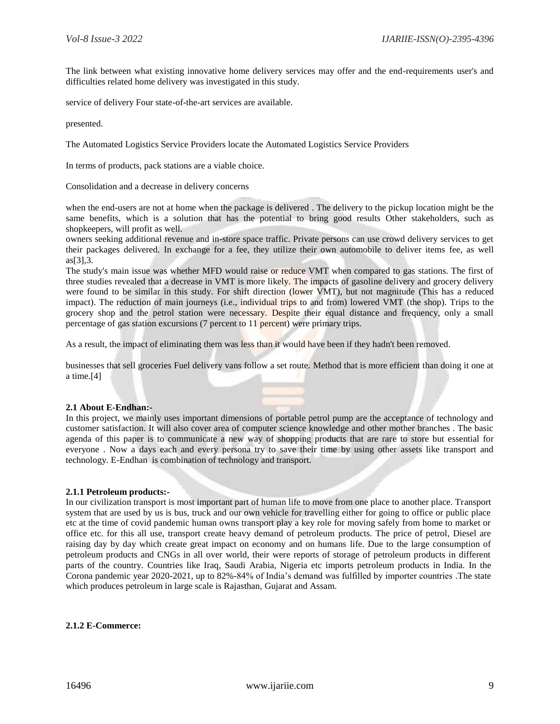The link between what existing innovative home delivery services may offer and the end-requirements user's and difficulties related home delivery was investigated in this study.

service of delivery Four state-of-the-art services are available.

presented.

The Automated Logistics Service Providers locate the Automated Logistics Service Providers

In terms of products, pack stations are a viable choice.

Consolidation and a decrease in delivery concerns

when the end-users are not at home when the package is delivered . The delivery to the pickup location might be the same benefits, which is a solution that has the potential to bring good results Other stakeholders, such as shopkeepers, will profit as well.

owners seeking additional revenue and in-store space traffic. Private persons can use crowd delivery services to get their packages delivered. In exchange for a fee, they utilize their own automobile to deliver items fee, as well as[3],3.

The study's main issue was whether MFD would raise or reduce VMT when compared to gas stations. The first of three studies revealed that a decrease in VMT is more likely. The impacts of gasoline delivery and grocery delivery were found to be similar in this study. For shift direction (lower VMT), but not magnitude (This has a reduced impact). The reduction of main journeys (i.e., individual trips to and from) lowered VMT (the shop). Trips to the grocery shop and the petrol station were necessary. Despite their equal distance and frequency, only a small percentage of gas station excursions (7 percent to 11 percent) were primary trips.

As a result, the impact of eliminating them was less than it would have been if they hadn't been removed.

businesses that sell groceries Fuel delivery vans follow a set route. Method that is more efficient than doing it one at a time.[4]

#### **2.1 About E-Endhan:-**

In this project, we mainly uses important dimensions of portable petrol pump are the acceptance of technology and customer satisfaction. It will also cover area of computer science knowledge and other mother branches . The basic agenda of this paper is to communicate a new way of shopping products that are rare to store but essential for everyone . Now a days each and every persona try to save their time by using other assets like transport and technology. E-Endhan is combination of technology and transport.

#### **2.1.1 Petroleum products:-**

In our civilization transport is most important part of human life to move from one place to another place. Transport system that are used by us is bus, truck and our own vehicle for travelling either for going to office or public place etc at the time of covid pandemic human owns transport play a key role for moving safely from home to market or office etc. for this all use, transport create heavy demand of petroleum products. The price of petrol, Diesel are raising day by day which create great impact on economy and on humans life. Due to the large consumption of petroleum products and CNGs in all over world, their were reports of storage of petroleum products in different parts of the country. Countries like Iraq, Saudi Arabia, Nigeria etc imports petroleum products in India. In the Corona pandemic year 2020-2021, up to 82%-84% of India's demand was fulfilled by importer countries .The state which produces petroleum in large scale is Rajasthan, Gujarat and Assam.

#### **2.1.2 E-Commerce:**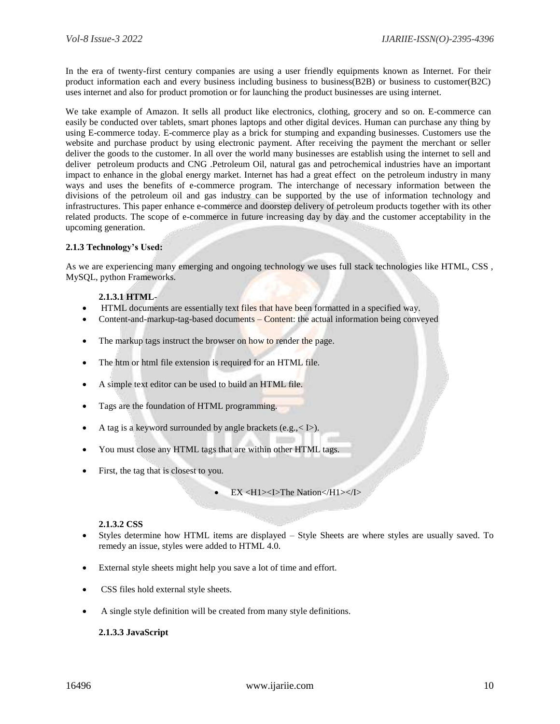In the era of twenty-first century companies are using a user friendly equipments known as Internet. For their product information each and every business including business to business(B2B) or business to customer(B2C) uses internet and also for product promotion or for launching the product businesses are using internet.

We take example of Amazon. It sells all product like electronics, clothing, grocery and so on. E-commerce can easily be conducted over tablets, smart phones laptops and other digital devices. Human can purchase any thing by using E-commerce today. E-commerce play as a brick for stumping and expanding businesses. Customers use the website and purchase product by using electronic payment. After receiving the payment the merchant or seller deliver the goods to the customer. In all over the world many businesses are establish using the internet to sell and deliver petroleum products and CNG .Petroleum Oil, natural gas and petrochemical industries have an important impact to enhance in the global energy market. Internet has had a great effect on the petroleum industry in many ways and uses the benefits of e-commerce program. The interchange of necessary information between the divisions of the petroleum oil and gas industry can be supported by the use of information technology and infrastructures. This paper enhance e-commerce and doorstep delivery of petroleum products together with its other related products. The scope of e-commerce in future increasing day by day and the customer acceptability in the upcoming generation.

#### **2.1.3 Technology's Used:**

As we are experiencing many emerging and ongoing technology we uses full stack technologies like HTML, CSS , MySQL, python Frameworks.

#### **2.1.3.1 HTML**-

- HTML documents are essentially text files that have been formatted in a specified way.
- Content-and-markup-tag-based documents Content: the actual information being conveyed
- The markup tags instruct the browser on how to render the page.
- The htm or html file extension is required for an HTML file.
- A simple text editor can be used to build an HTML file.
- Tags are the foundation of HTML programming.
- A tag is a keyword surrounded by angle brackets (e.g.,< I>).
- You must close any HTML tags that are within other HTML tags.
- First, the tag that is closest to you.

#### **2.1.3.2 CSS**

- Styles determine how HTML items are displayed Style Sheets are where styles are usually saved. To remedy an issue, styles were added to HTML 4.0.
- External style sheets might help you save a lot of time and effort.
- CSS files hold external style sheets.
- A single style definition will be created from many style definitions.

#### **2.1.3.3 JavaScript**

EX <H1><I>The Nation</H1></I>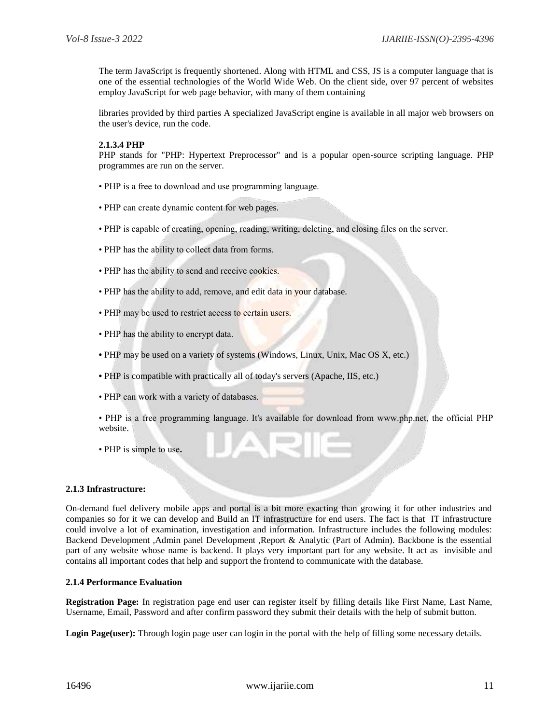The term JavaScript is frequently shortened. Along with HTML and CSS, JS is a computer language that is one of the essential technologies of the World Wide Web. On the client side, over 97 percent of websites employ JavaScript for web page behavior, with many of them containing

libraries provided by third parties A specialized JavaScript engine is available in all major web browsers on the user's device, run the code.

#### **2.1.3.4 PHP**

PHP stands for "PHP: Hypertext Preprocessor" and is a popular open-source scripting language. PHP programmes are run on the server.

- PHP is a free to download and use programming language.
- PHP can create dynamic content for web pages.
- PHP is capable of creating, opening, reading, writing, deleting, and closing files on the server.
- PHP has the ability to collect data from forms.
- PHP has the ability to send and receive cookies.
- PHP has the ability to add, remove, and edit data in your database.
- PHP may be used to restrict access to certain users.
- PHP has the ability to encrypt data.
- PHP may be used on a variety of systems (Windows, Linux, Unix, Mac OS X, etc.)
- PHP is compatible with practically all of today's servers (Apache, IIS, etc.)
- PHP can work with a variety of databases.
- PHP is a free programming language. It's available for download from www.php.net, the official PHP website.
- PHP is simple to use**.**

#### **2.1.3 Infrastructure:**

On-demand fuel delivery mobile apps and portal is a bit more exacting than growing it for other industries and companies so for it we can develop and Build an IT infrastructure for end users. The fact is that IT infrastructure could involve a lot of examination, investigation and information. Infrastructure includes the following modules: Backend Development ,Admin panel Development ,Report & Analytic (Part of Admin). Backbone is the essential part of any website whose name is backend. It plays very important part for any website. It act as invisible and contains all important codes that help and support the frontend to communicate with the database.

#### **2.1.4 Performance Evaluation**

**Registration Page:** In registration page end user can register itself by filling details like First Name, Last Name, Username, Email, Password and after confirm password they submit their details with the help of submit button.

**Login Page(user):** Through login page user can login in the portal with the help of filling some necessary details.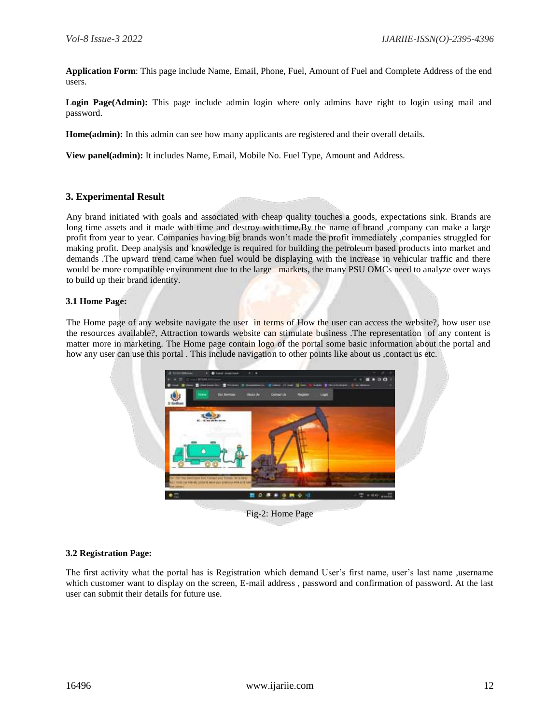**Application Form**: This page include Name, Email, Phone, Fuel, Amount of Fuel and Complete Address of the end users.

Login Page(Admin): This page include admin login where only admins have right to login using mail and password.

**Home(admin):** In this admin can see how many applicants are registered and their overall details.

**View panel(admin):** It includes Name, Email, Mobile No. Fuel Type, Amount and Address.

# **3. Experimental Result**

Any brand initiated with goals and associated with cheap quality touches a goods, expectations sink. Brands are long time assets and it made with time and destroy with time.By the name of brand ,company can make a large profit from year to year. Companies having big brands won't made the profit immediately ,companies struggled for making profit. Deep analysis and knowledge is required for building the petroleum based products into market and demands .The upward trend came when fuel would be displaying with the increase in vehicular traffic and there would be more compatible environment due to the large markets, the many PSU OMCs need to analyze over ways to build up their brand identity.

#### **3.1 Home Page:**

The Home page of any website navigate the user in terms of How the user can access the website?, how user use the resources available?, Attraction towards website can stimulate business .The representation of any content is matter more in marketing. The Home page contain logo of the portal some basic information about the portal and how any user can use this portal. This include navigation to other points like about us, contact us etc.



Fig-2: Home Page

### **3.2 Registration Page:**

The first activity what the portal has is Registration which demand User's first name, user's last name ,username which customer want to display on the screen, E-mail address, password and confirmation of password. At the last user can submit their details for future use.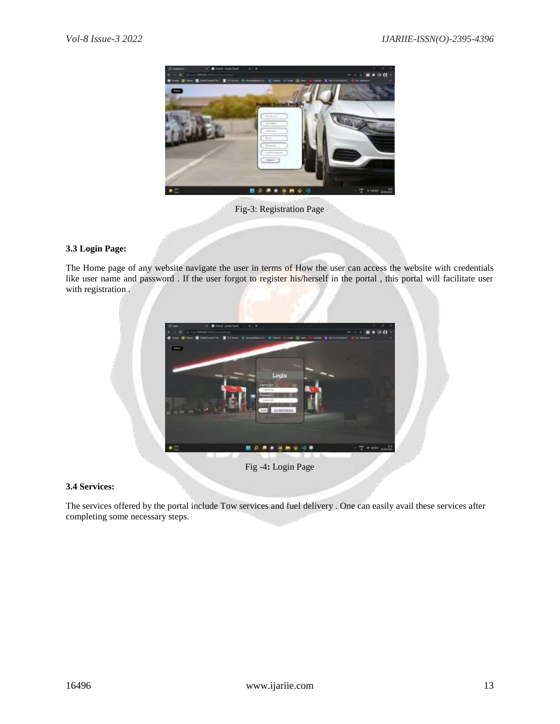

Fig-3: Registration Page

# **3.3 Login Page:**

The Home page of any website navigate the user in terms of How the user can access the website with credentials like user name and password . If the user forgot to register his/herself in the portal , this portal will facilitate user with registration.



Fig -4**:** Login Page

# **3.4 Services:**

The services offered by the portal include Tow services and fuel delivery . One can easily avail these services after completing some necessary steps.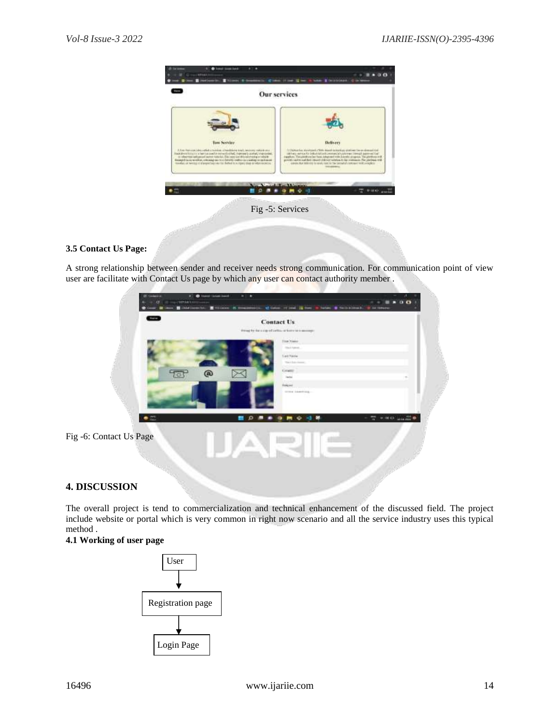

# **3.5 Contact Us Page:**

A strong relationship between sender and receiver needs strong communication. For communication point of view user are facilitate with Contact Us page by which any user can contact authority member .



# **4. DISCUSSION**

The overall project is tend to commercialization and technical enhancement of the discussed field. The project include website or portal which is very common in right now scenario and all the service industry uses this typical method .

# **4.1 Working of user page**

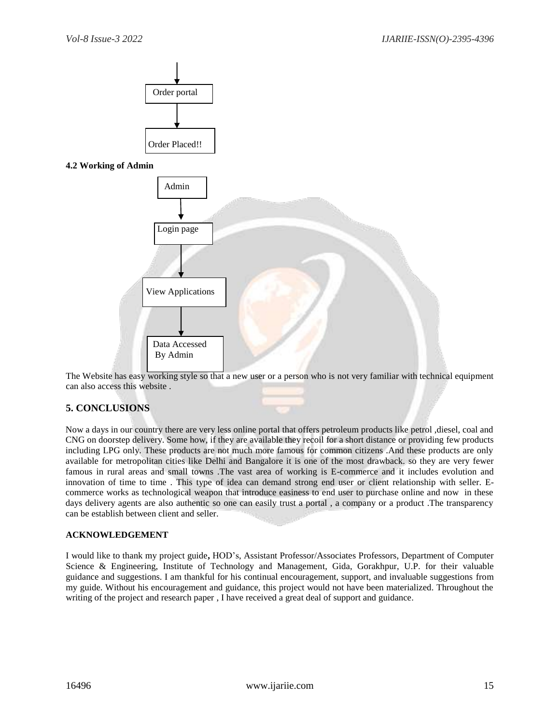

The Website has easy working style so that a new user or a person who is not very familiar with technical equipment can also access this website .

# **5. CONCLUSIONS**

Now a days in our country there are very less online portal that offers petroleum products like petrol ,diesel, coal and CNG on doorstep delivery. Some how, if they are available they recoil for a short distance or providing few products including LPG only. These products are not much more famous for common citizens .And these products are only available for metropolitan cities like Delhi and Bangalore it is one of the most drawback. so they are very fewer famous in rural areas and small towns .The vast area of working is E-commerce and it includes evolution and innovation of time to time . This type of idea can demand strong end user or client relationship with seller. Ecommerce works as technological weapon that introduce easiness to end user to purchase online and now in these days delivery agents are also authentic so one can easily trust a portal, a company or a product. The transparency can be establish between client and seller.

### **ACKNOWLEDGEMENT**

I would like to thank my project guide**,** HOD's, Assistant Professor/Associates Professors, Department of Computer Science & Engineering, Institute of Technology and Management, Gida, Gorakhpur, U.P. for their valuable guidance and suggestions. I am thankful for his continual encouragement, support, and invaluable suggestions from my guide. Without his encouragement and guidance, this project would not have been materialized. Throughout the writing of the project and research paper , I have received a great deal of support and guidance.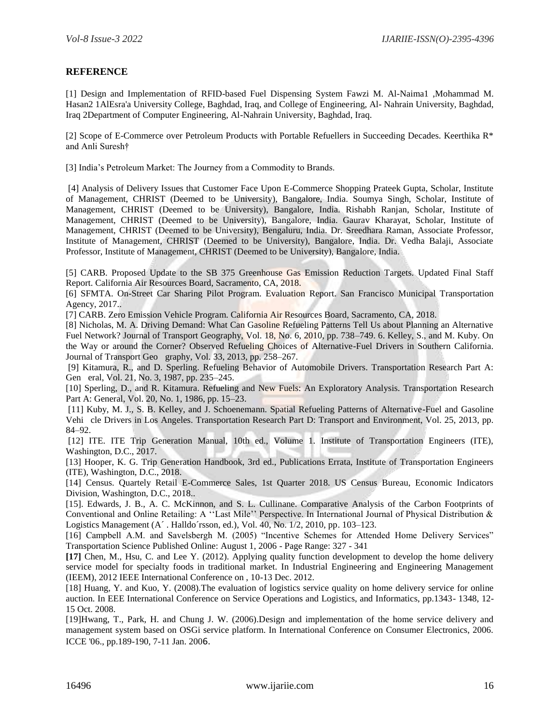# **REFERENCE**

[1] Design and Implementation of RFID-based Fuel Dispensing System Fawzi M. Al-Naima1 ,Mohammad M. Hasan2 1AlEsra'a University College, Baghdad, Iraq, and College of Engineering, Al- Nahrain University, Baghdad, Iraq 2Department of Computer Engineering, Al-Nahrain University, Baghdad, Iraq.

[2] Scope of E-Commerce over Petroleum Products with Portable Refuellers in Succeeding Decades. Keerthika R\* and Anli Suresh†

[3] India's Petroleum Market: The Journey from a Commodity to Brands.

[4] Analysis of Delivery Issues that Customer Face Upon E-Commerce Shopping Prateek Gupta, Scholar, Institute of Management, CHRIST (Deemed to be University), Bangalore, India. Soumya Singh, Scholar, Institute of Management, CHRIST (Deemed to be University), Bangalore, India. Rishabh Ranjan, Scholar, Institute of Management, CHRIST (Deemed to be University), Bangalore, India. Gaurav Kharayat, Scholar, Institute of Management, CHRIST (Deemed to be University), Bengaluru, India. Dr. Sreedhara Raman, Associate Professor, Institute of Management, CHRIST (Deemed to be University), Bangalore, India. Dr. Vedha Balaji, Associate Professor, Institute of Management, CHRIST (Deemed to be University), Bangalore, India.

[5] CARB. Proposed Update to the SB 375 Greenhouse Gas Emission Reduction Targets. Updated Final Staff Report. California Air Resources Board, Sacramento, CA, 2018.

[6] SFMTA. On-Street Car Sharing Pilot Program. Evaluation Report. San Francisco Municipal Transportation Agency, 2017..

[7] CARB. Zero Emission Vehicle Program. California Air Resources Board, Sacramento, CA, 2018.

[8] Nicholas, M. A. Driving Demand: What Can Gasoline Refueling Patterns Tell Us about Planning an Alternative Fuel Network? Journal of Transport Geography, Vol. 18, No. 6, 2010, pp. 738–749. 6. Kelley, S., and M. Kuby. On the Way or around the Corner? Observed Refueling Choices of Alternative-Fuel Drivers in Southern California. Journal of Transport Geo graphy, Vol. 33, 2013, pp. 258–267.

[9] Kitamura, R., and D. Sperling. Refueling Behavior of Automobile Drivers. Transportation Research Part A: Gen eral, Vol. 21, No. 3, 1987, pp. 235–245.

[10] Sperling, D., and R. Kitamura. Refueling and New Fuels: An Exploratory Analysis. Transportation Research Part A: General, Vol. 20, No. 1, 1986, pp. 15–23.

[11] Kuby, M. J., S. B. Kelley, and J. Schoenemann. Spatial Refueling Patterns of Alternative-Fuel and Gasoline Vehi cle Drivers in Los Angeles. Transportation Research Part D: Transport and Environment, Vol. 25, 2013, pp. 84–92.

[12] ITE. ITE Trip Generation Manual, 10th ed., Volume 1. Institute of Transportation Engineers (ITE), Washington, D.C., 2017.

[13] Hooper, K. G. Trip Generation Handbook, 3rd ed., Publications Errata, Institute of Transportation Engineers (ITE), Washington, D.C., 2018.

[14] Census. Quartely Retail E-Commerce Sales, 1st Quarter 2018. US Census Bureau, Economic Indicators Division, Washington, D.C., 2018..

[15]. Edwards, J. B., A. C. McKinnon, and S. L. Cullinane. Comparative Analysis of the Carbon Footprints of Conventional and Online Retailing: A ''Last Mile'' Perspective. In International Journal of Physical Distribution & Logistics Management (A´ . Halldo´rsson, ed.), Vol. 40, No. 1/2, 2010, pp. 103–123.

[16] Campbell A.M. and Savelsbergh M. (2005) "Incentive Schemes for Attended Home Delivery Services" Transportation Science Published Online: August 1, 2006 - Page Range: 327 - 341

**[17]** Chen, M., Hsu, C. and Lee Y. (2012). Applying quality function development to develop the home delivery service model for specialty foods in traditional market. In Industrial Engineering and Engineering Management (IEEM), 2012 IEEE International Conference on , 10-13 Dec. 2012.

[18] Huang, Y. and Kuo, Y. (2008). The evaluation of logistics service quality on home delivery service for online auction. In EEE International Conference on Service Operations and Logistics, and Informatics, pp.1343- 1348, 12- 15 Oct. 2008.

[19]Hwang, T., Park, H. and Chung J. W. (2006).Design and implementation of the home service delivery and management system based on OSGi service platform. In International Conference on Consumer Electronics, 2006. ICCE '06., pp.189-190, 7-11 Jan. 2006.